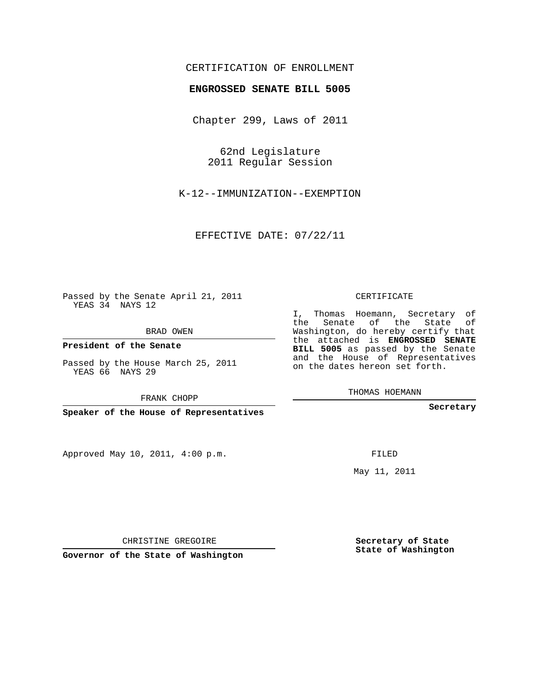## CERTIFICATION OF ENROLLMENT

#### **ENGROSSED SENATE BILL 5005**

Chapter 299, Laws of 2011

62nd Legislature 2011 Regular Session

K-12--IMMUNIZATION--EXEMPTION

EFFECTIVE DATE: 07/22/11

Passed by the Senate April 21, 2011 YEAS 34 NAYS 12

BRAD OWEN

**President of the Senate**

Passed by the House March 25, 2011 YEAS 66 NAYS 29

FRANK CHOPP

**Speaker of the House of Representatives**

Approved May 10, 2011, 4:00 p.m.

### CERTIFICATE

I, Thomas Hoemann, Secretary of the Senate of the State of Washington, do hereby certify that the attached is **ENGROSSED SENATE BILL 5005** as passed by the Senate and the House of Representatives on the dates hereon set forth.

THOMAS HOEMANN

**Secretary**

FILED

May 11, 2011

**Secretary of State State of Washington**

CHRISTINE GREGOIRE

**Governor of the State of Washington**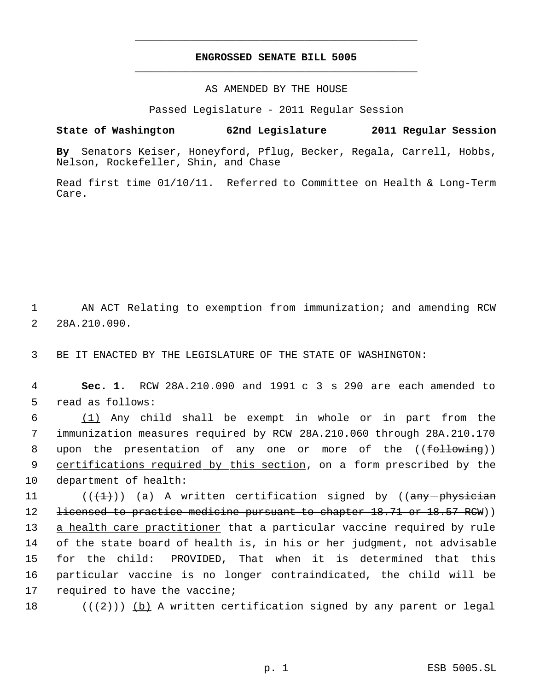## **ENGROSSED SENATE BILL 5005** \_\_\_\_\_\_\_\_\_\_\_\_\_\_\_\_\_\_\_\_\_\_\_\_\_\_\_\_\_\_\_\_\_\_\_\_\_\_\_\_\_\_\_\_\_

\_\_\_\_\_\_\_\_\_\_\_\_\_\_\_\_\_\_\_\_\_\_\_\_\_\_\_\_\_\_\_\_\_\_\_\_\_\_\_\_\_\_\_\_\_

AS AMENDED BY THE HOUSE

Passed Legislature - 2011 Regular Session

## **State of Washington 62nd Legislature 2011 Regular Session**

**By** Senators Keiser, Honeyford, Pflug, Becker, Regala, Carrell, Hobbs, Nelson, Rockefeller, Shin, and Chase

Read first time 01/10/11. Referred to Committee on Health & Long-Term Care.

 1 AN ACT Relating to exemption from immunization; and amending RCW 2 28A.210.090.

3 BE IT ENACTED BY THE LEGISLATURE OF THE STATE OF WASHINGTON:

 4 **Sec. 1.** RCW 28A.210.090 and 1991 c 3 s 290 are each amended to 5 read as follows:

6  $(1)$  Any child shall be exempt in whole or in part from the 7 immunization measures required by RCW 28A.210.060 through 28A.210.170 8 upon the presentation of any one or more of the ((following)) 9 certifications required by this section, on a form prescribed by the 10 department of health:

 $((+1))$   $(a)$  A written certification signed by ((any -physician 12 <del>licensed to practice medicine pursuant to chapter 18.71 or 18.57 RCW</del>)) 13 a health care practitioner that a particular vaccine required by rule of the state board of health is, in his or her judgment, not advisable for the child: PROVIDED, That when it is determined that this particular vaccine is no longer contraindicated, the child will be required to have the vaccine;

18 ( $(\langle 2 \rangle)$ ) (b) A written certification signed by any parent or legal